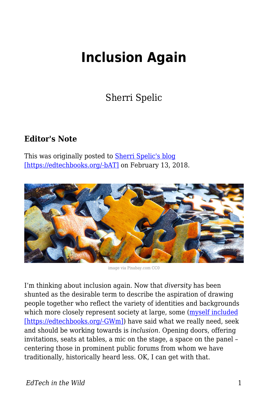# **Inclusion Again**

Sherri Spelic

## **Editor's Note**

This was originally posted to [Sherri Spelic's blog](https://edifiedlistener.blog/2018/02/13/inclusion-again/) [\[https://edtechbooks.org/-bAT\]](https://edifiedlistener.blog/2018/02/13/inclusion-again/) on February 13, 2018.



image via Pixabay.com CC0

I'm thinking about inclusion again. Now that *diversity* has been shunted as the desirable term to describe the aspiration of drawing people together who reflect the variety of identities and backgrounds which more closely represent society at large, some [\(myself included](http://www.digitalpedagogylab.com/digital-pedagogy-lab-2016-institute-aftermath-future-tense/) [\[https://edtechbooks.org/-GWm\]](http://www.digitalpedagogylab.com/digital-pedagogy-lab-2016-institute-aftermath-future-tense/)) have said what we really need, seek and should be working towards is *inclusion*. Opening doors, offering invitations, seats at tables, a mic on the stage, a space on the panel – centering those in prominent public forums from whom we have traditionally, historically heard less. OK, I can get with that.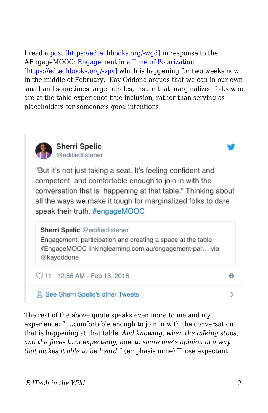I read [a post \[https://edtechbooks.org/-wgd\]](http://www.linkinglearning.com.au/engagement-participation-and-creating-a-space-at-the-table-engagemooc/) in response to the #EngageMOOC: [Engagement in a Time of Polarization](https://www.edx.org/course/engagement-time-polarization-davidsonx-davnowxpolarization) [\[https://edtechbooks.org/-vpv\]](https://www.edx.org/course/engagement-time-polarization-davidsonx-davnowxpolarization) which is happening for two weeks now in the middle of February. Kay Oddone argues that we can in our own small and sometimes larger circles, insure that marginalized folks who are at the table experience true inclusion, rather than serving as placeholders for someone's good intentions.



#### **Sherri Spelic** @edifiedlistener

"But it's not just taking a seat. It's feeling confident and competent and comfortable enough to join in with the conversation that is happening at that table." Thinking about all the ways we make it tough for marginalized folks to dare speak their truth. #engageMOOC

### Sherri Spelic @edifiedlistener

Engagement, participation and creating a space at the table: #EngageMOOC linkinglearning.com.au/engagement-par... via @kayoddone

◯ 11 12:56 AM - Feb 13, 2018

## **2 See Sherri Spelic's other Tweets**

The rest of the above quote speaks even more to me and my experience: " …comfortable enough to join in with the conversation that is happening at that table. *And knowing, when the talking stops, and the faces turn expectedly, how to share one's opinion in a way that makes it able to be heard*." (emphasis mine) Those expectant

 $\theta$ 

⋋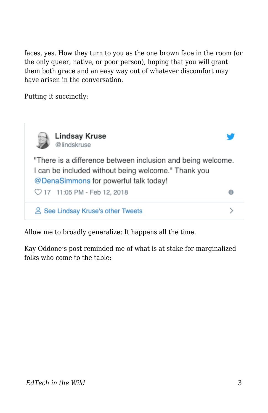faces, yes. How they turn to you as the one brown face in the room (or the only queer, native, or poor person), hoping that you will grant them both grace and an easy way out of whatever discomfort may have arisen in the conversation.

Putting it succinctly:



Allow me to broadly generalize: It happens all the time.

Kay Oddone's post reminded me of what is at stake for marginalized folks who come to the table: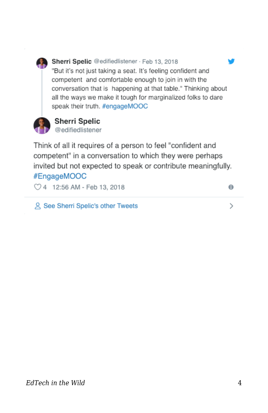

### Sherri Spelic @edifiedlistener · Feb 13, 2018

"But it's not just taking a seat. It's feeling confident and competent and comfortable enough to join in with the conversation that is happening at that table." Thinking about all the ways we make it tough for marginalized folks to dare speak their truth. #engageMOOC



#### **Sherri Spelic** @edifiedlistener

Think of all it requires of a person to feel "confident and competent" in a conversation to which they were perhaps invited but not expected to speak or contribute meaningfully. #EngageMOOC

◯ 4 12:56 AM - Feb 13, 2018

& See Sherri Spelic's other Tweets

*EdTech in the Wild* 4

 $\theta$ 

⋋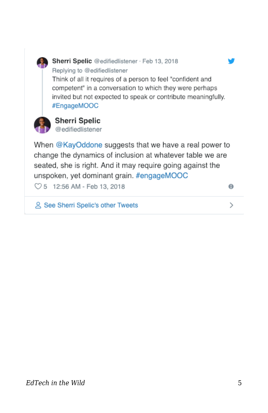

& See Sherri Spelic's other Tweets

 $\rightarrow$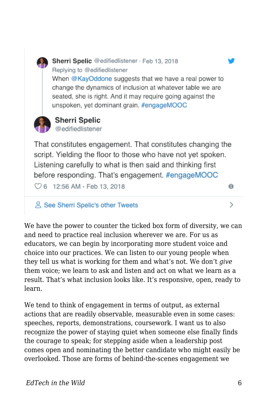

@edifiedlistener

That constitutes engagement. That constitutes changing the script. Yielding the floor to those who have not yet spoken. Listening carefully to what is then said and thinking first before responding. That's engagement. #engageMOOC

◯ 6 12:56 AM - Feb 13, 2018

& See Sherri Spelic's other Tweets

We have the power to counter the ticked box form of diversity, we can and need to practice real inclusion wherever we are. For us as educators, we can begin by incorporating more student voice and choice into our practices. We can listen to our young people when they tell us what is working for them and what's not. We don't *give* them voice; we learn to ask and listen and act on what we learn as a result. That's what inclusion looks like. It's responsive, open, ready to learn.

We tend to think of engagement in terms of output, as external actions that are readily observable, measurable even in some cases: speeches, reports, demonstrations, coursework. I want us to also recognize the power of staying quiet when someone else finally finds the courage to speak; for stepping aside when a leadership post comes open and nominating the better candidate who might easily be overlooked. Those are forms of behind-the-scenes engagement we

 $\theta$ 

 $\mathcal{P}$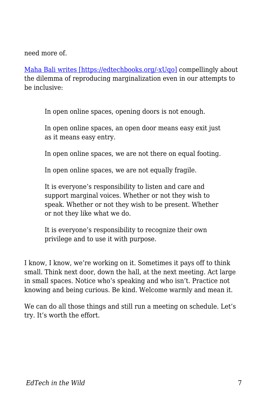need more of.

[Maha Bali writes \[https://edtechbooks.org/-xUqo\]](https://blog.mahabali.me/pedagogy/critical-pedagogy/reproducing-marginality/?utm_campaign=shareaholic&utm_medium=twitter&utm_source=socialnetwork) compellingly about the dilemma of reproducing marginalization even in our attempts to be inclusive:

In open online spaces, opening doors is not enough.

In open online spaces, an open door means easy exit just as it means easy entry.

In open online spaces, we are not there on equal footing.

In open online spaces, we are not equally fragile.

It is everyone's responsibility to listen and care and support marginal voices. Whether or not they wish to speak. Whether or not they wish to be present. Whether or not they like what we do.

It is everyone's responsibility to recognize their own privilege and to use it with purpose.

I know, I know, we're working on it. Sometimes it pays off to think small. Think next door, down the hall, at the next meeting. Act large in small spaces. Notice who's speaking and who isn't. Practice not knowing and being curious. Be kind. Welcome warmly and mean it.

We can do all those things and still run a meeting on schedule. Let's try. It's worth the effort.